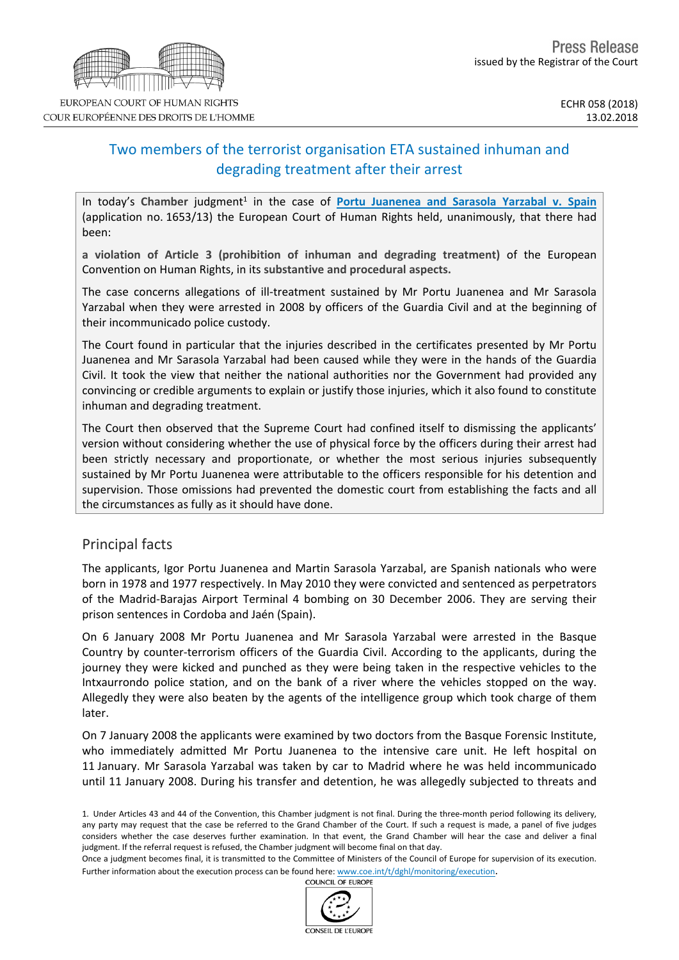# Two members of the terrorist organisation ETA sustained inhuman and degrading treatment after their arrest

In today's Chamber judgment<sup>1</sup> in the case of **Portu [Juanenea](http://hudoc.echr.coe.int/eng?i=001-180884) and Sarasola Yarzabal v. Spain** (application no. 1653/13) the European Court of Human Rights held, unanimously, that there had been:

**a violation of Article 3 (prohibition of inhuman and degrading treatment)** of the European Convention on Human Rights, in its **substantive and procedural aspects.**

The case concerns allegations of ill-treatment sustained by Mr Portu Juanenea and Mr Sarasola Yarzabal when they were arrested in 2008 by officers of the Guardia Civil and at the beginning of their incommunicado police custody.

The Court found in particular that the injuries described in the certificates presented by Mr Portu Juanenea and Mr Sarasola Yarzabal had been caused while they were in the hands of the Guardia Civil. It took the view that neither the national authorities nor the Government had provided any convincing or credible arguments to explain or justify those injuries, which it also found to constitute inhuman and degrading treatment.

The Court then observed that the Supreme Court had confined itself to dismissing the applicants' version without considering whether the use of physical force by the officers during their arrest had been strictly necessary and proportionate, or whether the most serious injuries subsequently sustained by Mr Portu Juanenea were attributable to the officers responsible for his detention and supervision. Those omissions had prevented the domestic court from establishing the facts and all the circumstances as fully as it should have done.

## Principal facts

The applicants, Igor Portu Juanenea and Martin Sarasola Yarzabal, are Spanish nationals who were born in 1978 and 1977 respectively. In May 2010 they were convicted and sentenced as perpetrators of the Madrid-Barajas Airport Terminal 4 bombing on 30 December 2006. They are serving their prison sentences in Cordoba and Jaén (Spain).

On 6 January 2008 Mr Portu Juanenea and Mr Sarasola Yarzabal were arrested in the Basque Country by counter-terrorism officers of the Guardia Civil. According to the applicants, during the journey they were kicked and punched as they were being taken in the respective vehicles to the Intxaurrondo police station, and on the bank of a river where the vehicles stopped on the way. Allegedly they were also beaten by the agents of the intelligence group which took charge of them later.

On 7 January 2008 the applicants were examined by two doctors from the Basque Forensic Institute, who immediately admitted Mr Portu Juanenea to the intensive care unit. He left hospital on 11 January. Mr Sarasola Yarzabal was taken by car to Madrid where he was held incommunicado until 11 January 2008. During his transfer and detention, he was allegedly subjected to threats and





<sup>1.</sup> Under Articles 43 and 44 of the Convention, this Chamber judgment is not final. During the three-month period following its delivery, any party may request that the case be referred to the Grand Chamber of the Court. If such a request is made, a panel of five judges considers whether the case deserves further examination. In that event, the Grand Chamber will hear the case and deliver a final judgment. If the referral request is refused, the Chamber judgment will become final on that day.

Once a judgment becomes final, it is transmitted to the Committee of Ministers of the Council of Europe for supervision of its execution. Further information about the execution process can be found here: [www.coe.int/t/dghl/monitoring/execution](http://www.coe.int/t/dghl/monitoring/execution).<br>COUNCIL OF FUROPE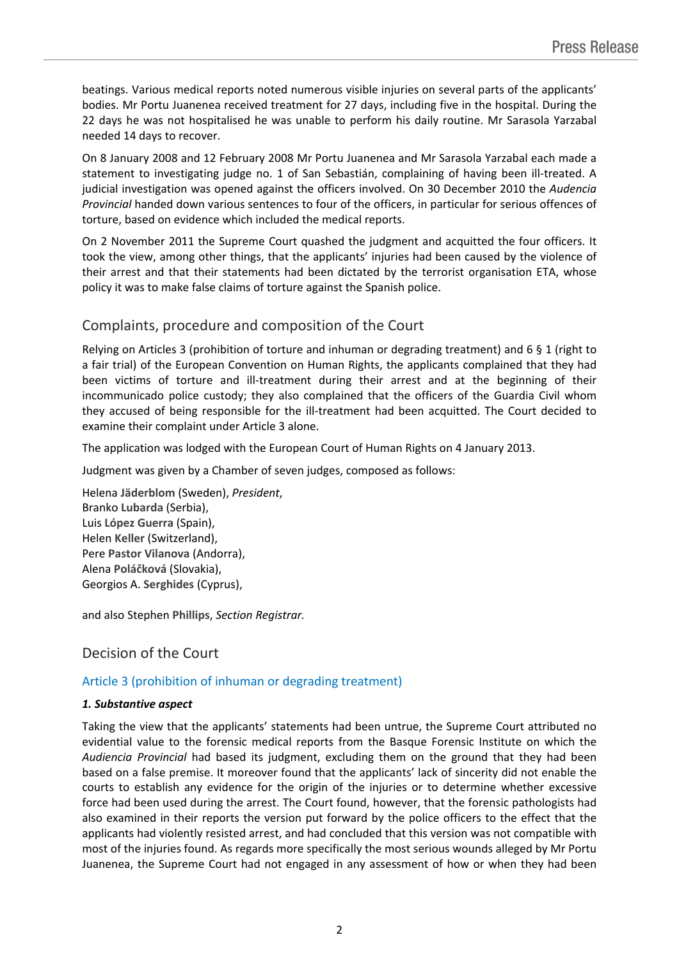beatings. Various medical reports noted numerous visible injuries on several parts of the applicants' bodies. Mr Portu Juanenea received treatment for 27 days, including five in the hospital. During the 22 days he was not hospitalised he was unable to perform his daily routine. Mr Sarasola Yarzabal needed 14 days to recover.

On 8 January 2008 and 12 February 2008 Mr Portu Juanenea and Mr Sarasola Yarzabal each made a statement to investigating judge no. 1 of San Sebastián, complaining of having been ill-treated. A judicial investigation was opened against the officers involved. On 30 December 2010 the *Audencia Provincial* handed down various sentences to four of the officers, in particular for serious offences of torture, based on evidence which included the medical reports.

On 2 November 2011 the Supreme Court quashed the judgment and acquitted the four officers. It took the view, among other things, that the applicants' injuries had been caused by the violence of their arrest and that their statements had been dictated by the terrorist organisation ETA, whose policy it was to make false claims of torture against the Spanish police.

## Complaints, procedure and composition of the Court

Relying on Articles 3 (prohibition of torture and inhuman or degrading treatment) and 6 § 1 (right to a fair trial) of the European Convention on Human Rights, the applicants complained that they had been victims of torture and ill-treatment during their arrest and at the beginning of their incommunicado police custody; they also complained that the officers of the Guardia Civil whom they accused of being responsible for the ill-treatment had been acquitted. The Court decided to examine their complaint under Article 3 alone.

The application was lodged with the European Court of Human Rights on 4 January 2013.

Judgment was given by a Chamber of seven judges, composed as follows:

Helena **Jäderblom** (Sweden), *President*, Branko **Lubarda** (Serbia), Luis **López Guerra** (Spain), Helen **Keller** (Switzerland), Pere **Pastor Vilanova** (Andorra), Alena **Poláčková** (Slovakia), Georgios A. **Serghides** (Cyprus),

and also Stephen **Phillips**, *Section Registrar.*

## Decision of the Court

### Article 3 (prohibition of inhuman or degrading treatment)

#### *1. Substantive aspect*

Taking the view that the applicants' statements had been untrue, the Supreme Court attributed no evidential value to the forensic medical reports from the Basque Forensic Institute on which the *Audiencia Provincial* had based its judgment, excluding them on the ground that they had been based on a false premise. It moreover found that the applicants' lack of sincerity did not enable the courts to establish any evidence for the origin of the injuries or to determine whether excessive force had been used during the arrest. The Court found, however, that the forensic pathologists had also examined in their reports the version put forward by the police officers to the effect that the applicants had violently resisted arrest, and had concluded that this version was not compatible with most of the injuries found. As regards more specifically the most serious wounds alleged by Mr Portu Juanenea, the Supreme Court had not engaged in any assessment of how or when they had been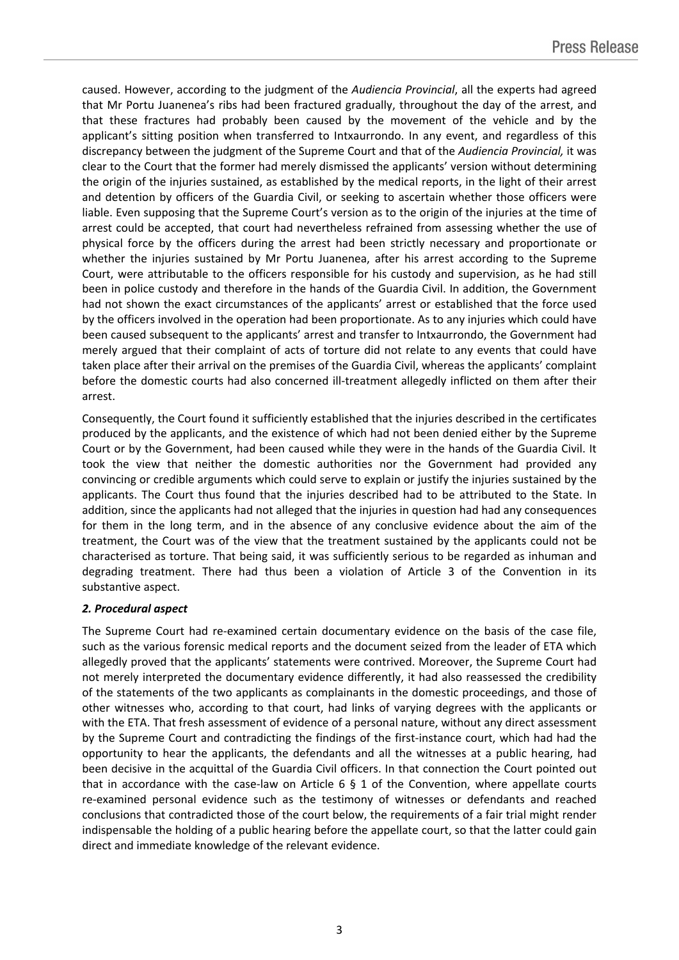caused. However, according to the judgment of the *Audiencia Provincial*, all the experts had agreed that Mr Portu Juanenea's ribs had been fractured gradually, throughout the day of the arrest, and that these fractures had probably been caused by the movement of the vehicle and by the applicant's sitting position when transferred to Intxaurrondo. In any event, and regardless of this discrepancy between the judgment of the Supreme Court and that of the *Audiencia Provincial,* it was clear to the Court that the former had merely dismissed the applicants' version without determining the origin of the injuries sustained, as established by the medical reports, in the light of their arrest and detention by officers of the Guardia Civil, or seeking to ascertain whether those officers were liable. Even supposing that the Supreme Court's version as to the origin of the injuries at the time of arrest could be accepted, that court had nevertheless refrained from assessing whether the use of physical force by the officers during the arrest had been strictly necessary and proportionate or whether the injuries sustained by Mr Portu Juanenea, after his arrest according to the Supreme Court, were attributable to the officers responsible for his custody and supervision, as he had still been in police custody and therefore in the hands of the Guardia Civil. In addition, the Government had not shown the exact circumstances of the applicants' arrest or established that the force used by the officers involved in the operation had been proportionate. As to any injuries which could have been caused subsequent to the applicants' arrest and transfer to Intxaurrondo, the Government had merely argued that their complaint of acts of torture did not relate to any events that could have taken place after their arrival on the premises of the Guardia Civil, whereas the applicants' complaint before the domestic courts had also concerned ill-treatment allegedly inflicted on them after their arrest.

Consequently, the Court found it sufficiently established that the injuries described in the certificates produced by the applicants, and the existence of which had not been denied either by the Supreme Court or by the Government, had been caused while they were in the hands of the Guardia Civil. It took the view that neither the domestic authorities nor the Government had provided any convincing or credible arguments which could serve to explain or justify the injuries sustained by the applicants. The Court thus found that the injuries described had to be attributed to the State. In addition, since the applicants had not alleged that the injuries in question had had any consequences for them in the long term, and in the absence of any conclusive evidence about the aim of the treatment, the Court was of the view that the treatment sustained by the applicants could not be characterised as torture. That being said, it was sufficiently serious to be regarded as inhuman and degrading treatment. There had thus been a violation of Article 3 of the Convention in its substantive aspect.

### *2. Procedural aspect*

The Supreme Court had re-examined certain documentary evidence on the basis of the case file, such as the various forensic medical reports and the document seized from the leader of ETA which allegedly proved that the applicants' statements were contrived. Moreover, the Supreme Court had not merely interpreted the documentary evidence differently, it had also reassessed the credibility of the statements of the two applicants as complainants in the domestic proceedings, and those of other witnesses who, according to that court, had links of varying degrees with the applicants or with the ETA. That fresh assessment of evidence of a personal nature, without any direct assessment by the Supreme Court and contradicting the findings of the first-instance court, which had had the opportunity to hear the applicants, the defendants and all the witnesses at a public hearing, had been decisive in the acquittal of the Guardia Civil officers. In that connection the Court pointed out that in accordance with the case-law on Article 6  $\S$  1 of the Convention, where appellate courts re-examined personal evidence such as the testimony of witnesses or defendants and reached conclusions that contradicted those of the court below, the requirements of a fair trial might render indispensable the holding of a public hearing before the appellate court, so that the latter could gain direct and immediate knowledge of the relevant evidence.